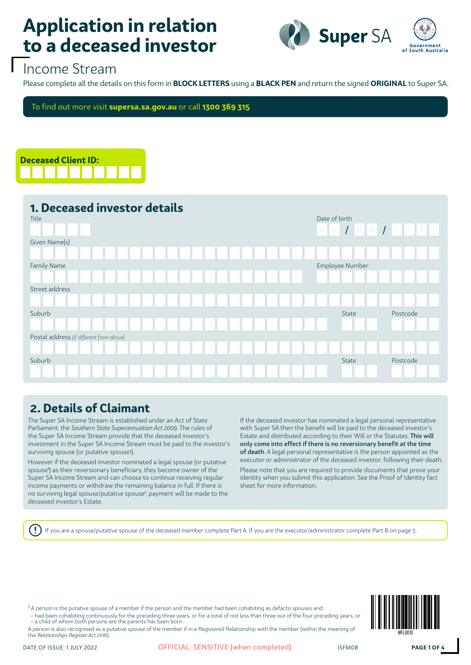

### Income Stream

Please complete all the details on this form in **BLOCK LETTERS** using a **BLACK PEN** and return the signed **ORIGINAL** to Super SA.

To find out more visit **supersa.sa.gov.au** or call **1300 369 315**



| 1. Deceased investor details<br>Title    | Date of birth<br>$D$ $D$ $I$ $M$ $M$ $I$ $Y$ $Y$ $Y$ |
|------------------------------------------|------------------------------------------------------|
| Given Name(s)                            |                                                      |
|                                          |                                                      |
| Family Name                              | Employee Number                                      |
|                                          |                                                      |
| Street address                           |                                                      |
|                                          |                                                      |
| Suburb                                   | Postcode<br>State                                    |
|                                          |                                                      |
| Postal address (if different from above) |                                                      |
|                                          |                                                      |
| Suburb                                   | Postcode<br>State                                    |
|                                          |                                                      |

#### **2. Details of Claimant**

The Super SA Income Stream is established under an Act of State Parliament, the *Southern State Superannuation Act 2009*. The rules of the Super SA Income Stream provide that the deceased investor's investment in the Super SA Income Stream must be paid to the investor's surviving spouse (or putative spouse1).

However if the deceased investor nominated a legal spouse (or putative spouse<sup>1</sup> ) as their reversionary beneficiary, they become owner of the Super SA Income Stream and can choose to continue receiving regular income payments or withdraw the remaining balance in full. If there is no surviving legal spouse/putative spouse<sup>1</sup> , payment will be made to the deceased investor's Estate.

If the deceased investor has nominated a legal personal representative with Super SA then the benefit will be paid to the deceased investor's Estate and distributed according to their Will or the Statutes. This will only come into effect if there is no reversionary benefit at the time of death. A legal personal representative is the person appointed as the executor or administrator of the deceased investor, following their death. Please note that you are required to provide documents that prove your identity when you submit this application. See the Proof of Identity fact sheet for more information.

If you are a spouse/putative spouse of the deceased member complete Part A. If you are the executor/administrator complete Part B on page 3.

1 A person is the putative spouse of a member if the person and the member had been cohabiting as defacto spouses and:

– had been cohabiting continuously for the preceding three years, or for a total of not less than three out of the four preceding years, or – a child of whom both persons are the parents has been born.

A person is also recognised as a putative spouse of the member if in a Registered Relationship with the member (within the meaning of the *Relationships Register Act 2016*).

Ţ

DATE OF ISSUE: 1 JULY 2022 **OFFICIAL: SENSITIVE (when completed)** ISFM08 **PAGE 1 OF 4**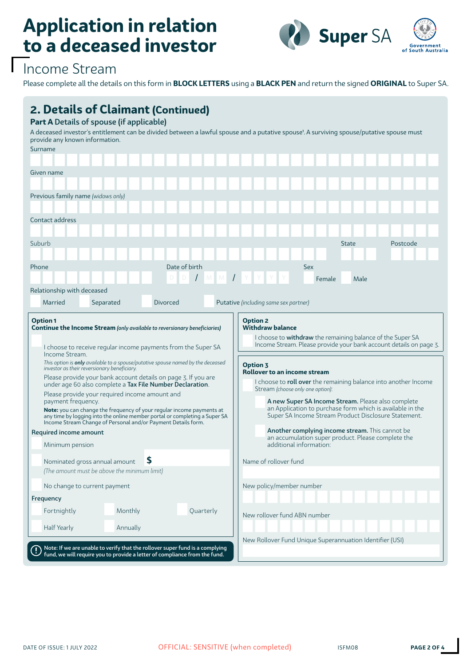

## Income Stream

Please complete all the details on this form in **BLOCK LETTERS** using a **BLACK PEN** and return the signed **ORIGINAL** to Super SA.

| <b>2. Details of Claimant (Continued)</b><br>Part A Details of spouse (if applicable)<br>provide any known information.<br>Surname                                                                                                                                                                                                                                                                                                                                                                                                                                                                                                                                                                                                                                                                                                                                                                       |           |               |           | A deceased investor's entitlement can be divided between a lawful spouse and a putative spouse <sup>1</sup> . A surviving spouse/putative spouse must                                                                                                                                                                                                                                                                                                                                                                                                                                                                                                                                   |  |  |  |  |  |
|----------------------------------------------------------------------------------------------------------------------------------------------------------------------------------------------------------------------------------------------------------------------------------------------------------------------------------------------------------------------------------------------------------------------------------------------------------------------------------------------------------------------------------------------------------------------------------------------------------------------------------------------------------------------------------------------------------------------------------------------------------------------------------------------------------------------------------------------------------------------------------------------------------|-----------|---------------|-----------|-----------------------------------------------------------------------------------------------------------------------------------------------------------------------------------------------------------------------------------------------------------------------------------------------------------------------------------------------------------------------------------------------------------------------------------------------------------------------------------------------------------------------------------------------------------------------------------------------------------------------------------------------------------------------------------------|--|--|--|--|--|
| Given name                                                                                                                                                                                                                                                                                                                                                                                                                                                                                                                                                                                                                                                                                                                                                                                                                                                                                               |           |               |           |                                                                                                                                                                                                                                                                                                                                                                                                                                                                                                                                                                                                                                                                                         |  |  |  |  |  |
|                                                                                                                                                                                                                                                                                                                                                                                                                                                                                                                                                                                                                                                                                                                                                                                                                                                                                                          |           |               |           |                                                                                                                                                                                                                                                                                                                                                                                                                                                                                                                                                                                                                                                                                         |  |  |  |  |  |
| Previous family name (widows only)                                                                                                                                                                                                                                                                                                                                                                                                                                                                                                                                                                                                                                                                                                                                                                                                                                                                       |           |               |           |                                                                                                                                                                                                                                                                                                                                                                                                                                                                                                                                                                                                                                                                                         |  |  |  |  |  |
| Contact address                                                                                                                                                                                                                                                                                                                                                                                                                                                                                                                                                                                                                                                                                                                                                                                                                                                                                          |           |               |           |                                                                                                                                                                                                                                                                                                                                                                                                                                                                                                                                                                                                                                                                                         |  |  |  |  |  |
|                                                                                                                                                                                                                                                                                                                                                                                                                                                                                                                                                                                                                                                                                                                                                                                                                                                                                                          |           |               |           |                                                                                                                                                                                                                                                                                                                                                                                                                                                                                                                                                                                                                                                                                         |  |  |  |  |  |
| Suburb                                                                                                                                                                                                                                                                                                                                                                                                                                                                                                                                                                                                                                                                                                                                                                                                                                                                                                   |           |               |           | Postcode<br><b>State</b>                                                                                                                                                                                                                                                                                                                                                                                                                                                                                                                                                                                                                                                                |  |  |  |  |  |
| Phone                                                                                                                                                                                                                                                                                                                                                                                                                                                                                                                                                                                                                                                                                                                                                                                                                                                                                                    |           | Date of birth |           | <b>Sex</b>                                                                                                                                                                                                                                                                                                                                                                                                                                                                                                                                                                                                                                                                              |  |  |  |  |  |
|                                                                                                                                                                                                                                                                                                                                                                                                                                                                                                                                                                                                                                                                                                                                                                                                                                                                                                          |           |               |           | Male<br>Female                                                                                                                                                                                                                                                                                                                                                                                                                                                                                                                                                                                                                                                                          |  |  |  |  |  |
| Relationship with deceased                                                                                                                                                                                                                                                                                                                                                                                                                                                                                                                                                                                                                                                                                                                                                                                                                                                                               |           |               |           |                                                                                                                                                                                                                                                                                                                                                                                                                                                                                                                                                                                                                                                                                         |  |  |  |  |  |
| Married                                                                                                                                                                                                                                                                                                                                                                                                                                                                                                                                                                                                                                                                                                                                                                                                                                                                                                  | Separated | Divorced      |           | Putative (including same sex partner)                                                                                                                                                                                                                                                                                                                                                                                                                                                                                                                                                                                                                                                   |  |  |  |  |  |
| <b>Option 1</b><br><b>Continue the Income Stream</b> (only available to reversionary beneficiaries)<br>I choose to receive regular income payments from the Super SA<br>Income Stream.<br>This option is <b>only</b> available to a spouse/putative spouse named by the deceased<br>investor as their reversionary beneficiary.<br>Please provide your bank account details on page 3. If you are<br>under age 60 also complete a Tax File Number Declaration.<br>Please provide your required income amount and<br>payment frequency.<br><b>Note:</b> you can change the frequency of your regular income payments at<br>any time by logging into the online member portal or completing a Super SA<br>Income Stream Change of Personal and/or Payment Details form.<br>Required income amount<br>Minimum pension<br>S<br>Nominated gross annual amount<br>(The amount must be above the minimum limit) |           |               |           | <b>Option 2</b><br><b>Withdraw balance</b><br>I choose to withdraw the remaining balance of the Super SA<br>Income Stream. Please provide your bank account details on page 3.<br><b>Option 3</b><br><b>Rollover to an income stream</b><br>I choose to roll over the remaining balance into another Income<br>Stream (choose only one option):<br>A new Super SA Income Stream. Please also complete<br>an Application to purchase form which is available in the<br>Super SA Income Stream Product Disclosure Statement.<br>Another complying income stream. This cannot be<br>an accumulation super product. Please complete the<br>additional information:<br>Name of rollover fund |  |  |  |  |  |
| No change to current payment                                                                                                                                                                                                                                                                                                                                                                                                                                                                                                                                                                                                                                                                                                                                                                                                                                                                             |           |               |           | New policy/member number                                                                                                                                                                                                                                                                                                                                                                                                                                                                                                                                                                                                                                                                |  |  |  |  |  |
| Frequency                                                                                                                                                                                                                                                                                                                                                                                                                                                                                                                                                                                                                                                                                                                                                                                                                                                                                                |           |               |           |                                                                                                                                                                                                                                                                                                                                                                                                                                                                                                                                                                                                                                                                                         |  |  |  |  |  |
| Fortnightly                                                                                                                                                                                                                                                                                                                                                                                                                                                                                                                                                                                                                                                                                                                                                                                                                                                                                              | Monthly   |               | Quarterly | New rollover fund ABN number                                                                                                                                                                                                                                                                                                                                                                                                                                                                                                                                                                                                                                                            |  |  |  |  |  |
| <b>Half Yearly</b>                                                                                                                                                                                                                                                                                                                                                                                                                                                                                                                                                                                                                                                                                                                                                                                                                                                                                       | Annually  |               |           |                                                                                                                                                                                                                                                                                                                                                                                                                                                                                                                                                                                                                                                                                         |  |  |  |  |  |
| Note: If we are unable to verify that the rollover super fund is a complying<br>fund, we will require you to provide a letter of compliance from the fund.                                                                                                                                                                                                                                                                                                                                                                                                                                                                                                                                                                                                                                                                                                                                               |           |               |           | New Rollover Fund Unique Superannuation Identifier (USI)                                                                                                                                                                                                                                                                                                                                                                                                                                                                                                                                                                                                                                |  |  |  |  |  |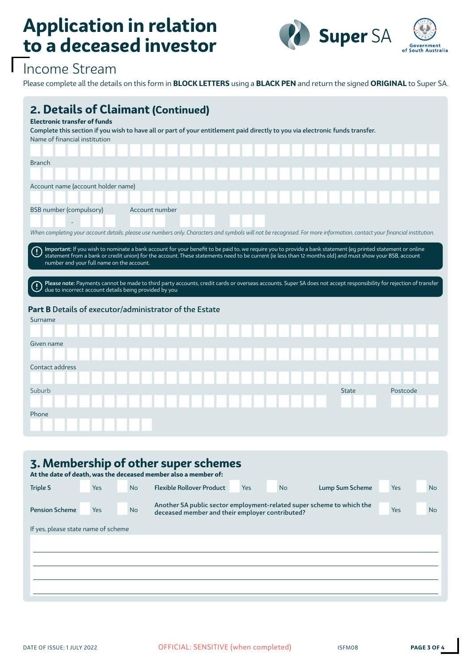

## Income Stream

Please complete all the details on this form in **BLOCK LETTERS** using a **BLACK PEN** and return the signed **ORIGINAL** to Super SA.

| 2. Details of Claimant (Continued)<br><b>Electronic transfer of funds</b><br>Complete this section if you wish to have all or part of your entitlement paid directly to you via electronic funds transfer.<br>Name of financial institution                                                                                                                                                                                                                                                                                                                                                                                         |  |
|-------------------------------------------------------------------------------------------------------------------------------------------------------------------------------------------------------------------------------------------------------------------------------------------------------------------------------------------------------------------------------------------------------------------------------------------------------------------------------------------------------------------------------------------------------------------------------------------------------------------------------------|--|
| <b>Branch</b>                                                                                                                                                                                                                                                                                                                                                                                                                                                                                                                                                                                                                       |  |
| Account name (account holder name)                                                                                                                                                                                                                                                                                                                                                                                                                                                                                                                                                                                                  |  |
| <b>BSB</b> number (compulsory)<br>Account number                                                                                                                                                                                                                                                                                                                                                                                                                                                                                                                                                                                    |  |
| When completing your account details, please use numbers only. Characters and symbols will not be recognised. For more information, contact your financial institution.                                                                                                                                                                                                                                                                                                                                                                                                                                                             |  |
| Important: If you wish to nominate a bank account for your benefit to be paid to, we require you to provide a bank statement (eq printed statement or online<br>$\left( \mathbf{l}\right)$<br>statement from a bank or credit union) for the account. These statements need to be current (ie less than 12 months old) and must show your BSB, account<br>number and your full name on the account.<br>Please note: Payments cannot be made to third party accounts, credit cards or overseas accounts. Super SA does not accept responsibility for rejection of transfer<br>due to incorrect account details being provided by you |  |
| Part B Details of executor/administrator of the Estate                                                                                                                                                                                                                                                                                                                                                                                                                                                                                                                                                                              |  |
| Surname                                                                                                                                                                                                                                                                                                                                                                                                                                                                                                                                                                                                                             |  |
| Given name                                                                                                                                                                                                                                                                                                                                                                                                                                                                                                                                                                                                                          |  |
| Contact address                                                                                                                                                                                                                                                                                                                                                                                                                                                                                                                                                                                                                     |  |
| Suburb<br>Postcode<br><b>State</b>                                                                                                                                                                                                                                                                                                                                                                                                                                                                                                                                                                                                  |  |
| Phone                                                                                                                                                                                                                                                                                                                                                                                                                                                                                                                                                                                                                               |  |

| 3. Membership of other super schemes<br>At the date of death, was the deceased member also a member of: |            |           |                                                                                                                          |      |           |                 |            |           |  |
|---------------------------------------------------------------------------------------------------------|------------|-----------|--------------------------------------------------------------------------------------------------------------------------|------|-----------|-----------------|------------|-----------|--|
| <b>Triple S</b>                                                                                         | <b>Yes</b> | <b>No</b> | <b>Flexible Rollover Product</b>                                                                                         | Yes. | <b>No</b> | Lump Sum Scheme | <b>Yes</b> | <b>No</b> |  |
| <b>Pension Scheme</b>                                                                                   | <b>Yes</b> | <b>No</b> | Another SA public sector employment-related super scheme to which the<br>deceased member and their employer contributed? |      |           |                 |            | <b>No</b> |  |
| If yes, please state name of scheme                                                                     |            |           |                                                                                                                          |      |           |                 |            |           |  |
|                                                                                                         |            |           |                                                                                                                          |      |           |                 |            |           |  |
|                                                                                                         |            |           |                                                                                                                          |      |           |                 |            |           |  |
|                                                                                                         |            |           |                                                                                                                          |      |           |                 |            |           |  |
|                                                                                                         |            |           |                                                                                                                          |      |           |                 |            |           |  |